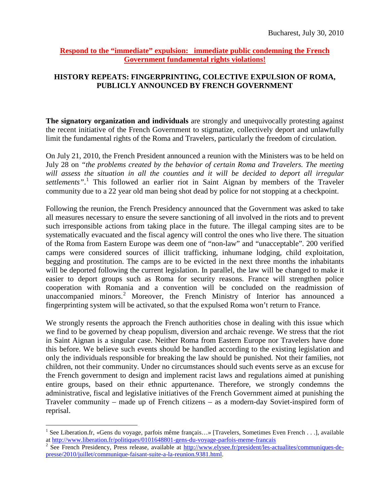## **Respond to the "immediate" expulsion: immediate public condemning the French Government fundamental rights violations!**

## **HISTORY REPEATS: FINGERPRINTING, COLECTIVE EXPULSION OF ROMA, PUBLICLY ANNOUNCED BY FRENCH GOVERNMENT**

**The signatory organization and individuals** are strongly and unequivocally protesting against the recent initiative of the French Government to stigmatize, collectively deport and unlawfully limit the fundamental rights of the Roma and Travelers, particularly the freedom of circulation.

On July 21, 2010, the French President announced a reunion with the Ministers was to be held on July 28 on *"the problems created by the behavior of certain Roma and Travelers. The meeting will assess the situation in all the counties and it will be decided to deport all irregular* settlements".<sup>[1](#page-0-0)</sup> This followed an earlier riot in Saint Aignan by members of the Traveler community due to a 22 year old man being shot dead by police for not stopping at a checkpoint.

Following the reunion, the French Presidency announced that the Government was asked to take all measures necessary to ensure the severe sanctioning of all involved in the riots and to prevent such irresponsible actions from taking place in the future. The illegal camping sites are to be systematically evacuated and the fiscal agency will control the ones who live there. The situation of the Roma from Eastern Europe was deem one of "non-law" and "unacceptable". 200 verified camps were considered sources of illicit trafficking, inhumane lodging, child exploitation, begging and prostitution. The camps are to be evicted in the next three months the inhabitants will be deported following the current legislation. In parallel, the law will be changed to make it easier to deport groups such as Roma for security reasons. France will strengthen police cooperation with Romania and a convention will be concluded on the readmission of unaccompanied minors.<sup>[2](#page-0-1)</sup> Moreover, the French Ministry of Interior has announced a fingerprinting system will be activated, so that the expulsed Roma won't return to France.

We strongly resents the approach the French authorities chose in dealing with this issue which we find to be governed by cheap populism, diversion and archaic revenge. We stress that the riot in Saint Aignan is a singular case. Neither Roma from Eastern Europe nor Travelers have done this before. We believe such events should be handled according to the existing legislation and only the individuals responsible for breaking the law should be punished. Not their families, not children, not their community. Under no circumstances should such events serve as an excuse for the French government to design and implement racist laws and regulations aimed at punishing entire groups, based on their ethnic appurtenance. Therefore, we strongly condemns the administrative, fiscal and legislative initiatives of the French Government aimed at punishing the Traveler community – made up of French citizens – as a modern-day Soviet-inspired form of reprisal.

<span id="page-0-0"></span><sup>&</sup>lt;sup>1</sup> See Liberation.fr, «Gens du voyage, parfois même français...» [Travelers, Sometimes Even French . . .], available

<span id="page-0-1"></span>at <http://www.liberation.fr/politiques/0101648801-gens-du-voyage-parfois-meme-francais><br><sup>2</sup> See French Presidency, Press release, available at <u>http://www.elysee.fr/president/les-actualites/communiques-de-</u> [presse/2010/juillet/communique-faisant-suite-a-la-reunion.9381.html.](http://www.elysee.fr/president/les-actualites/communiques-de-presse/2010/juillet/communique-faisant-suite-a-la-reunion.9381.html)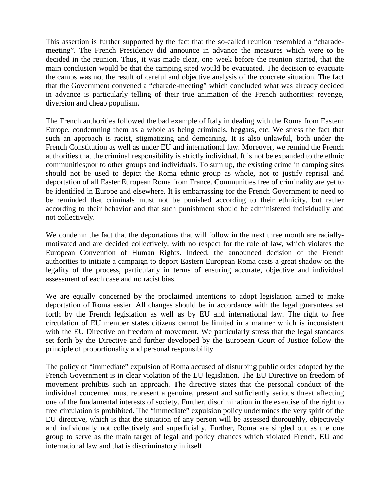This assertion is further supported by the fact that the so-called reunion resembled a "charademeeting". The French Presidency did announce in advance the measures which were to be decided in the reunion. Thus, it was made clear, one week before the reunion started, that the main conclusion would be that the camping sited would be evacuated. The decision to evacuate the camps was not the result of careful and objective analysis of the concrete situation. The fact that the Government convened a "charade-meeting" which concluded what was already decided in advance is particularly telling of their true animation of the French authorities: revenge, diversion and cheap populism.

The French authorities followed the bad example of Italy in dealing with the Roma from Eastern Europe, condemning them as a whole as being criminals, beggars, etc. We stress the fact that such an approach is racist, stigmatizing and demeaning. It is also unlawful, both under the French Constitution as well as under EU and international law. Moreover, we remind the French authorities that the criminal responsibility is strictly individual. It is not be expanded to the ethnic communities;nor to other groups and individuals. To sum up, the existing crime in camping sites should not be used to depict the Roma ethnic group as whole, not to justify reprisal and deportation of all Easter European Roma from France. Communities free of criminality are yet to be identified in Europe and elsewhere. It is embarrassing for the French Government to need to be reminded that criminals must not be punished according to their ethnicity, but rather according to their behavior and that such punishment should be administered individually and not collectively.

We condemn the fact that the deportations that will follow in the next three month are raciallymotivated and are decided collectively, with no respect for the rule of law, which violates the European Convention of Human Rights. Indeed, the announced decision of the French authorities to initiate a campaign to deport Eastern European Roma casts a great shadow on the legality of the process, particularly in terms of ensuring accurate, objective and individual assessment of each case and no racist bias.

We are equally concerned by the proclaimed intentions to adopt legislation aimed to make deportation of Roma easier. All changes should be in accordance with the legal guarantees set forth by the French legislation as well as by EU and international law. The right to free circulation of EU member states citizens cannot be limited in a manner which is inconsistent with the EU Directive on freedom of movement. We particularly stress that the legal standards set forth by the Directive and further developed by the European Court of Justice follow the principle of proportionality and personal responsibility.

The policy of "immediate" expulsion of Roma accused of disturbing public order adopted by the French Government is in clear violation of the EU legislation. The EU Directive on freedom of movement prohibits such an approach. The directive states that the personal conduct of the individual concerned must represent a genuine, present and sufficiently serious threat affecting one of the fundamental interests of society. Further, discrimination in the exercise of the right to free circulation is prohibited. The "immediate" expulsion policy undermines the very spirit of the EU directive, which is that the situation of any person will be assessed thoroughly, objectively and individually not collectively and superficially. Further, Roma are singled out as the one group to serve as the main target of legal and policy chances which violated French, EU and international law and that is discriminatory in itself.